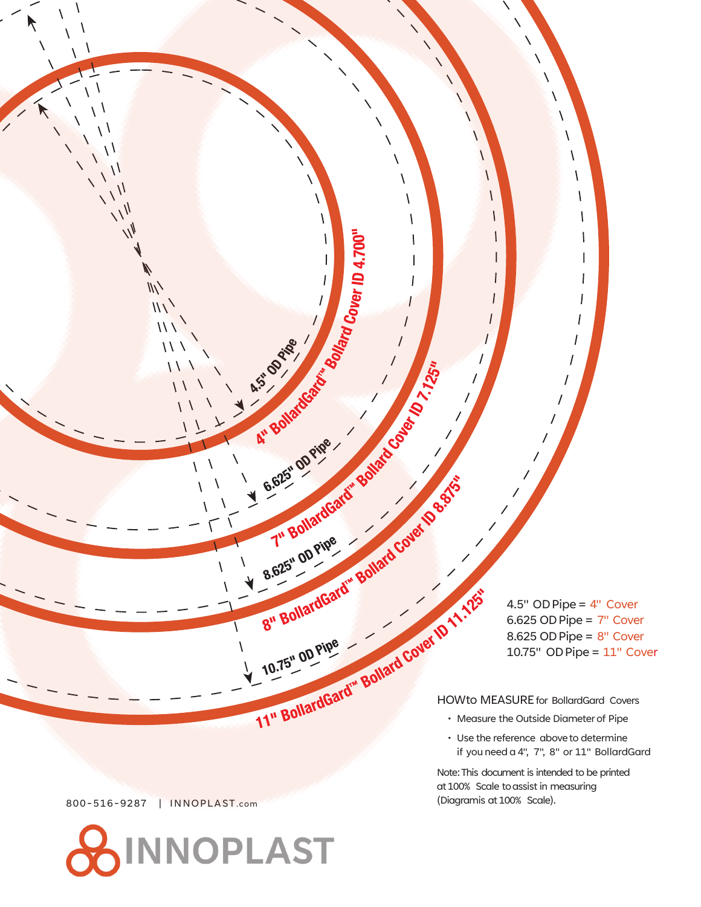UD Pipe = 4" Cover<br>
6.625 OD Pipe = 7" Cove<br>
8.625 OD Pipe = 8" Cove<br>
10.75" OD Pipe = 11" Co<br>
HOWto MEASURE for BollardGard Covers<br>
Measure the Outside Digital 4.5" ODPipe = 4" Cover  $6.625$  OD Pipe =  $7"$  Cover  $8.625$  OD Pipe =  $8"$  Cover 10.75" ODPipe = 11" Cover

∖

1

 $\lambda$ 

V

 $\overline{1}$ 

A.St David

Ari Bollardosato

A" BU OD Pipe

<sup>ard Cover</sup> ID 4.700"

B.625" OD Pipe Bollard Covet 10 %.

B.625" op Pipe Bollard Care (D.11.12

V

 $\overline{\phantom{a}}$ 

 $\overline{ }$ 

 $\overline{1}$ 

- Measure the Outside Diameter of Pipe
- Use the reference above to determine if you need a 4", 7", 8" or 11" BollardGard

Note:This document is intended to be printed at 100% Scale to assist in measuring (Diagramis at 100% Scale).

800-516-9287 | INNOPLAST.com

 $\overline{U}$ 

 $\frac{1}{\sqrt{2}}$ 

 $\sqrt{2}$ 

 $\frac{1}{2}$  $W_{\ell}$  $\frac{1}{2}$ 

 $\sqrt{}$ 

 $\setminus$